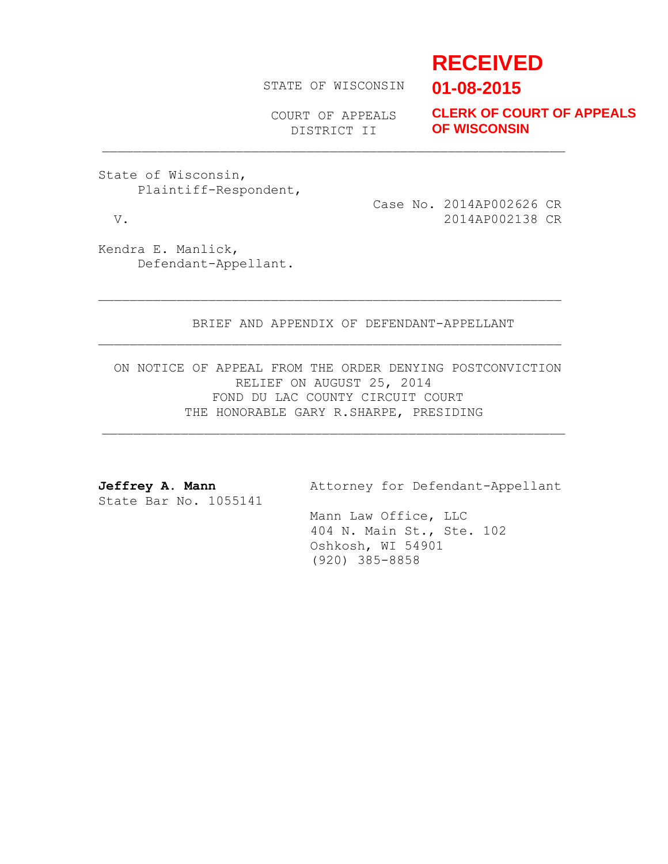# **RECEIVED**

STATE OF WISCONSIN

**01-08-2015**

COURT OF APPEALS DISTRICT II

**CLERK OF COURT OF APPEALS OF WISCONSIN**

State of Wisconsin, Plaintiff-Respondent,

 Case No. 2014AP002626 CR V. 2014AP002138 CR

Kendra E. Manlick, Defendant-Appellant.

BRIEF AND APPENDIX OF DEFENDANT-APPELLANT

ON NOTICE OF APPEAL FROM THE ORDER DENYING POSTCONVICTION RELIEF ON AUGUST 25, 2014 FOND DU LAC COUNTY CIRCUIT COURT THE HONORABLE GARY R.SHARPE, PRESIDING

State Bar No. 1055141

Jeffrey A. Mann **Attorney for Defendant-Appellant** 

 Mann Law Office, LLC 404 N. Main St., Ste. 102 Oshkosh, WI 54901 (920) 385-8858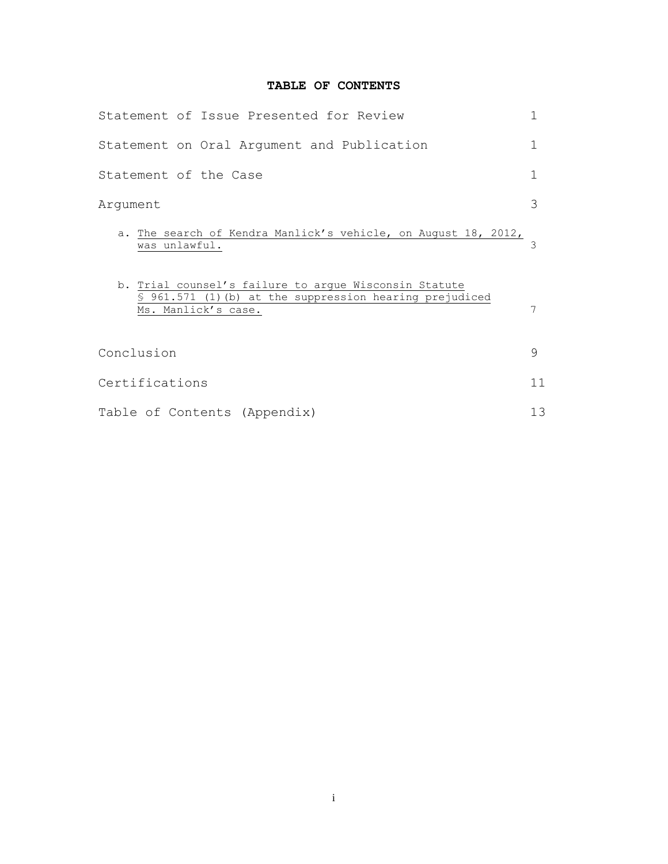# **TABLE OF CONTENTS**

| Statement of Issue Presented for Review                                                                                                  | 1  |
|------------------------------------------------------------------------------------------------------------------------------------------|----|
| Statement on Oral Argument and Publication                                                                                               | 1  |
| Statement of the Case                                                                                                                    | 1  |
| Argument                                                                                                                                 | 3  |
| a. The search of Kendra Manlick's vehicle, on August 18, 2012,<br>was unlawful.                                                          | ζ  |
| b. Trial counsel's failure to argue Wisconsin Statute<br>\$ 961.571 (1) (b) at the suppression hearing prejudiced<br>Ms. Manlick's case. | 7  |
| Conclusion                                                                                                                               | 9  |
| Certifications                                                                                                                           | 11 |
| Table of Contents (Appendix)                                                                                                             | 13 |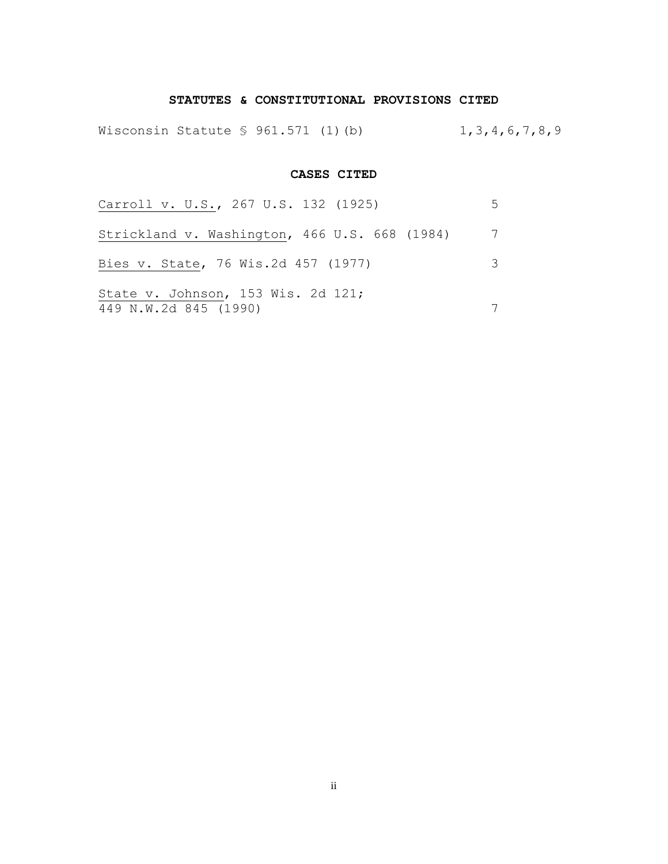## **STATUTES & CONSTITUTIONAL PROVISIONS CITED**

Wisconsin Statute § 961.571 (1)(b) 1,3,4,6,7,8,9

### **CASES CITED**

| Carroll v. U.S., 267 U.S. 132 (1925)                        | $\mathcal{L}$ |
|-------------------------------------------------------------|---------------|
| Strickland v. Washington, 466 U.S. 668 (1984)               |               |
| Bies v. State, 76 Wis.2d 457 (1977)                         | 3             |
| State v. Johnson, 153 Wis. 2d 121;<br>449 N.W.2d 845 (1990) |               |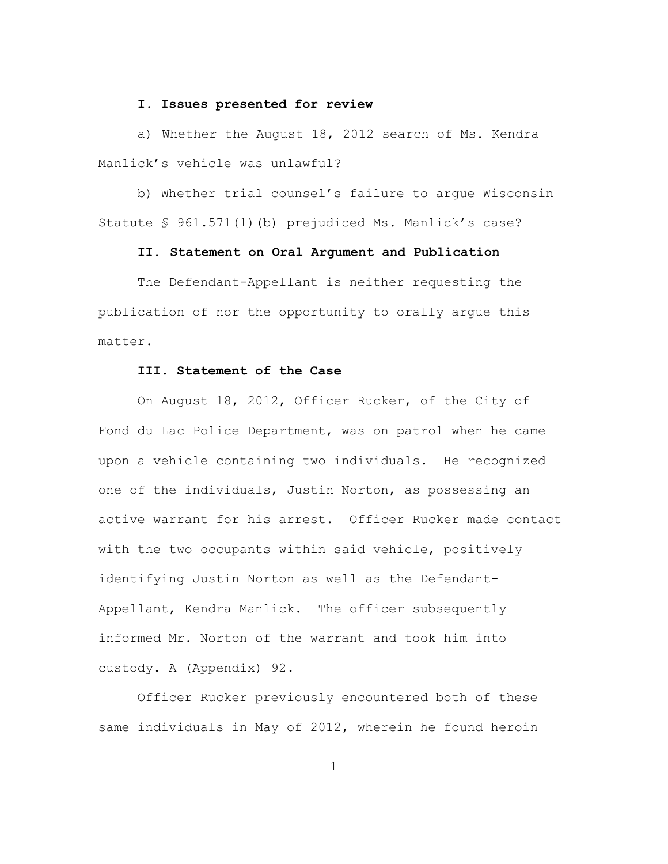### **I. Issues presented for review**

a) Whether the August 18, 2012 search of Ms. Kendra Manlick's vehicle was unlawful?

b) Whether trial counsel's failure to argue Wisconsin Statute § 961.571(1)(b) prejudiced Ms. Manlick's case?

### **II. Statement on Oral Argument and Publication**

The Defendant-Appellant is neither requesting the publication of nor the opportunity to orally argue this matter.

### **III. Statement of the Case**

On August 18, 2012, Officer Rucker, of the City of Fond du Lac Police Department, was on patrol when he came upon a vehicle containing two individuals. He recognized one of the individuals, Justin Norton, as possessing an active warrant for his arrest. Officer Rucker made contact with the two occupants within said vehicle, positively identifying Justin Norton as well as the Defendant-Appellant, Kendra Manlick. The officer subsequently informed Mr. Norton of the warrant and took him into custody. A (Appendix) 92.

Officer Rucker previously encountered both of these same individuals in May of 2012, wherein he found heroin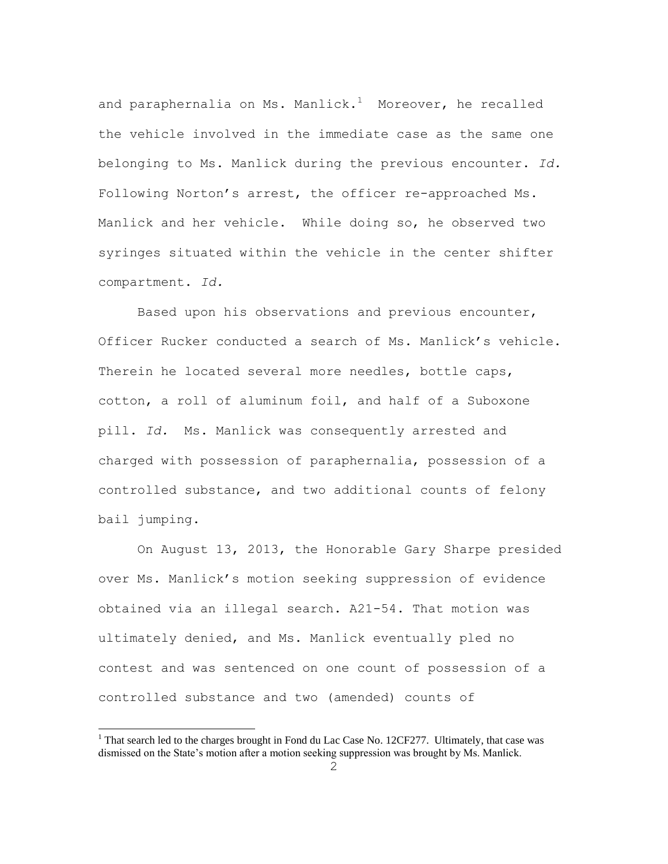and paraphernalia on Ms. Manlick. $1$  Moreover, he recalled the vehicle involved in the immediate case as the same one belonging to Ms. Manlick during the previous encounter. *Id.* Following Norton's arrest, the officer re-approached Ms. Manlick and her vehicle. While doing so, he observed two syringes situated within the vehicle in the center shifter compartment. *Id.*

Based upon his observations and previous encounter, Officer Rucker conducted a search of Ms. Manlick's vehicle. Therein he located several more needles, bottle caps, cotton, a roll of aluminum foil, and half of a Suboxone pill. *Id.* Ms. Manlick was consequently arrested and charged with possession of paraphernalia, possession of a controlled substance, and two additional counts of felony bail jumping.

On August 13, 2013, the Honorable Gary Sharpe presided over Ms. Manlick's motion seeking suppression of evidence obtained via an illegal search. A21-54. That motion was ultimately denied, and Ms. Manlick eventually pled no contest and was sentenced on one count of possession of a controlled substance and two (amended) counts of

 $\overline{a}$ 

<sup>&</sup>lt;sup>1</sup> That search led to the charges brought in Fond du Lac Case No. 12CF277. Ultimately, that case was dismissed on the State's motion after a motion seeking suppression was brought by Ms. Manlick.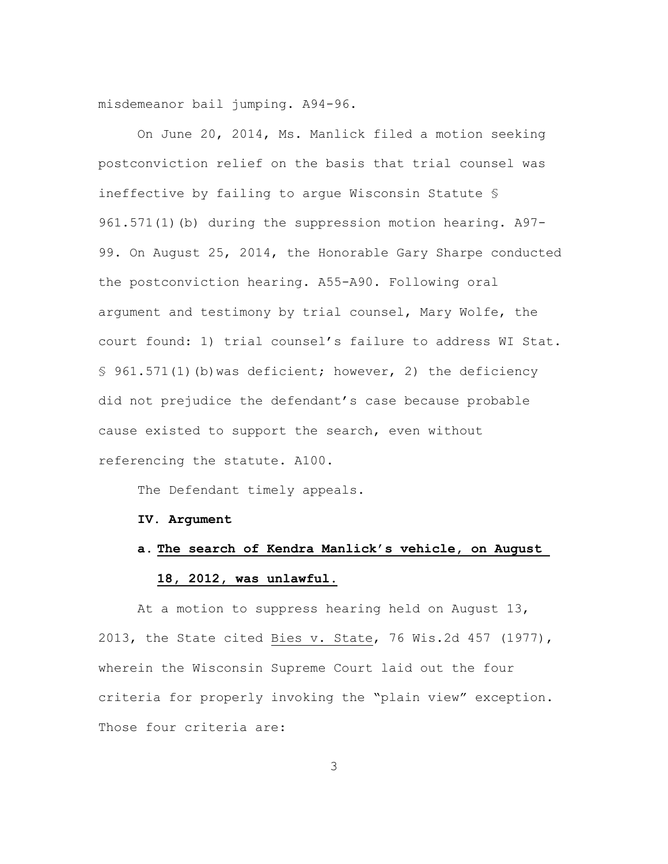misdemeanor bail jumping. A94-96.

On June 20, 2014, Ms. Manlick filed a motion seeking postconviction relief on the basis that trial counsel was ineffective by failing to argue Wisconsin Statute § 961.571(1)(b) during the suppression motion hearing. A97-99. On August 25, 2014, the Honorable Gary Sharpe conducted the postconviction hearing. A55-A90. Following oral argument and testimony by trial counsel, Mary Wolfe, the court found: 1) trial counsel's failure to address WI Stat. § 961.571(1)(b)was deficient; however, 2) the deficiency did not prejudice the defendant's case because probable cause existed to support the search, even without referencing the statute. A100.

The Defendant timely appeals.

#### **IV. Argument**

# **a. The search of Kendra Manlick's vehicle, on August 18, 2012, was unlawful.**

 At a motion to suppress hearing held on August 13, 2013, the State cited Bies v. State, 76 Wis.2d 457 (1977), wherein the Wisconsin Supreme Court laid out the four criteria for properly invoking the "plain view" exception. Those four criteria are: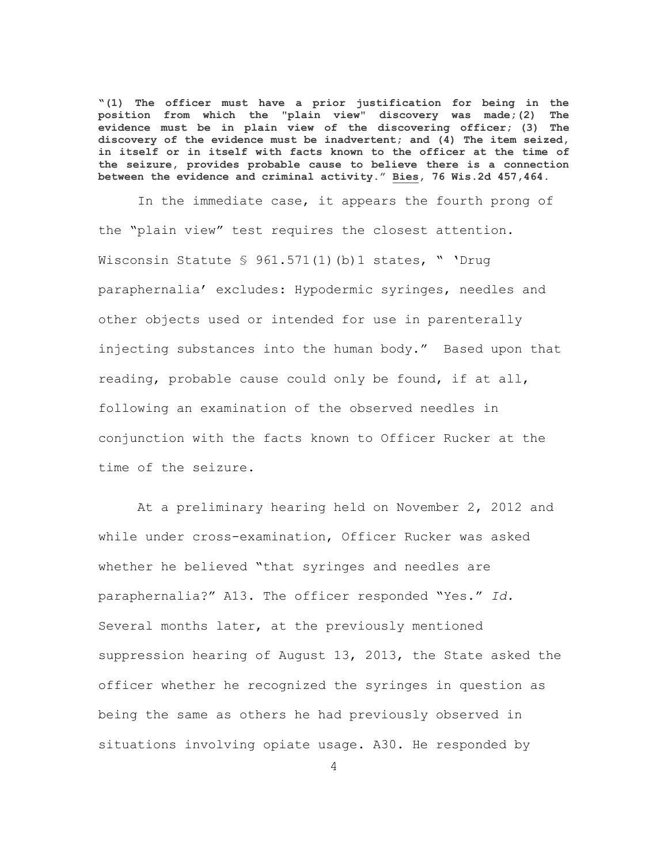**"(1) The officer must have a prior justification for being in the position from which the "plain view" discovery was made;(2) The evidence must be in plain view of the discovering officer; (3) The discovery of the evidence must be inadvertent; and (4) The item seized, in itself or in itself with facts known to the officer at the time of the seizure, provides probable cause to believe there is a connection between the evidence and criminal activity." Bies, 76 Wis.2d 457,464.**

In the immediate case, it appears the fourth prong of the "plain view" test requires the closest attention. Wisconsin Statute § 961.571(1)(b)1 states, " 'Drug paraphernalia' excludes: Hypodermic syringes, needles and other objects used or intended for use in parenterally injecting substances into the human body." Based upon that reading, probable cause could only be found, if at all, following an examination of the observed needles in conjunction with the facts known to Officer Rucker at the time of the seizure.

At a preliminary hearing held on November 2, 2012 and while under cross-examination, Officer Rucker was asked whether he believed "that syringes and needles are paraphernalia?" A13. The officer responded "Yes." *Id.* Several months later, at the previously mentioned suppression hearing of August 13, 2013, the State asked the officer whether he recognized the syringes in question as being the same as others he had previously observed in situations involving opiate usage. A30. He responded by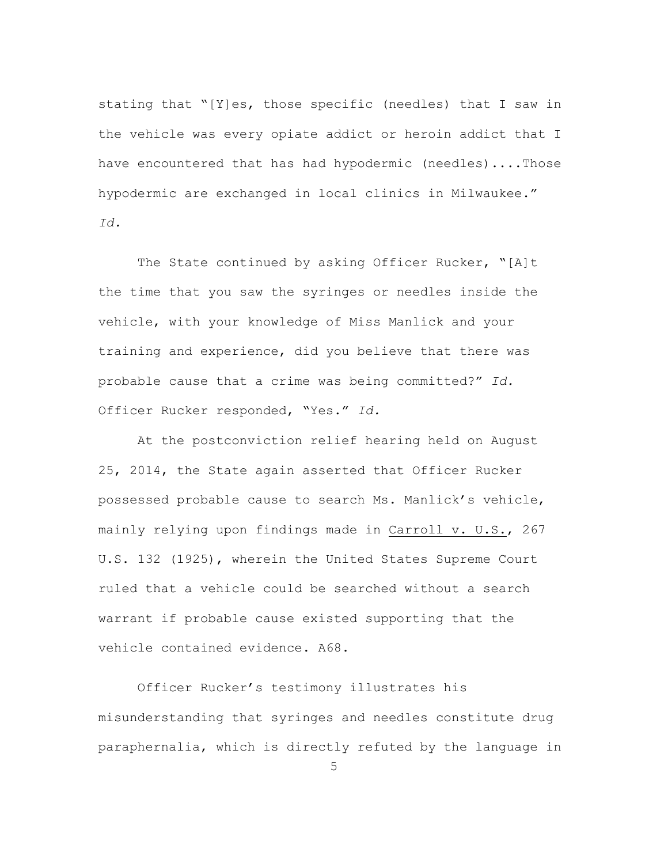stating that "[Y]es, those specific (needles) that I saw in the vehicle was every opiate addict or heroin addict that I have encountered that has had hypodermic (needles)....Those hypodermic are exchanged in local clinics in Milwaukee." *Id.*

The State continued by asking Officer Rucker, "[A]t the time that you saw the syringes or needles inside the vehicle, with your knowledge of Miss Manlick and your training and experience, did you believe that there was probable cause that a crime was being committed?" *Id.* Officer Rucker responded, "Yes." *Id.*

At the postconviction relief hearing held on August 25, 2014, the State again asserted that Officer Rucker possessed probable cause to search Ms. Manlick's vehicle, mainly relying upon findings made in Carroll v. U.S., 267 U.S. 132 (1925), wherein the United States Supreme Court ruled that a vehicle could be searched without a search warrant if probable cause existed supporting that the vehicle contained evidence. A68.

Officer Rucker's testimony illustrates his misunderstanding that syringes and needles constitute drug paraphernalia, which is directly refuted by the language in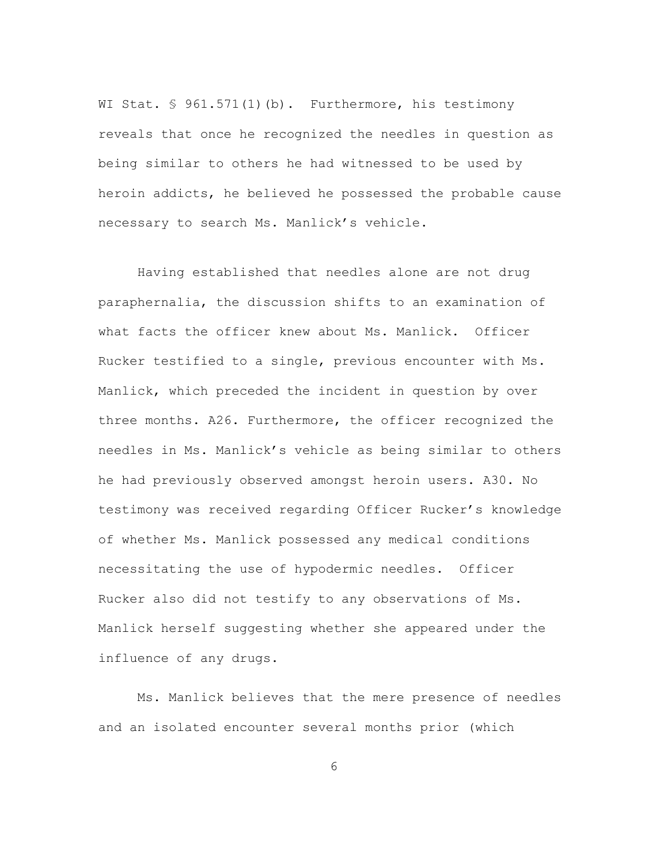WI Stat. § 961.571(1)(b). Furthermore, his testimony reveals that once he recognized the needles in question as being similar to others he had witnessed to be used by heroin addicts, he believed he possessed the probable cause necessary to search Ms. Manlick's vehicle.

Having established that needles alone are not drug paraphernalia, the discussion shifts to an examination of what facts the officer knew about Ms. Manlick. Officer Rucker testified to a single, previous encounter with Ms. Manlick, which preceded the incident in question by over three months. A26. Furthermore, the officer recognized the needles in Ms. Manlick's vehicle as being similar to others he had previously observed amongst heroin users. A30. No testimony was received regarding Officer Rucker's knowledge of whether Ms. Manlick possessed any medical conditions necessitating the use of hypodermic needles. Officer Rucker also did not testify to any observations of Ms. Manlick herself suggesting whether she appeared under the influence of any drugs.

Ms. Manlick believes that the mere presence of needles and an isolated encounter several months prior (which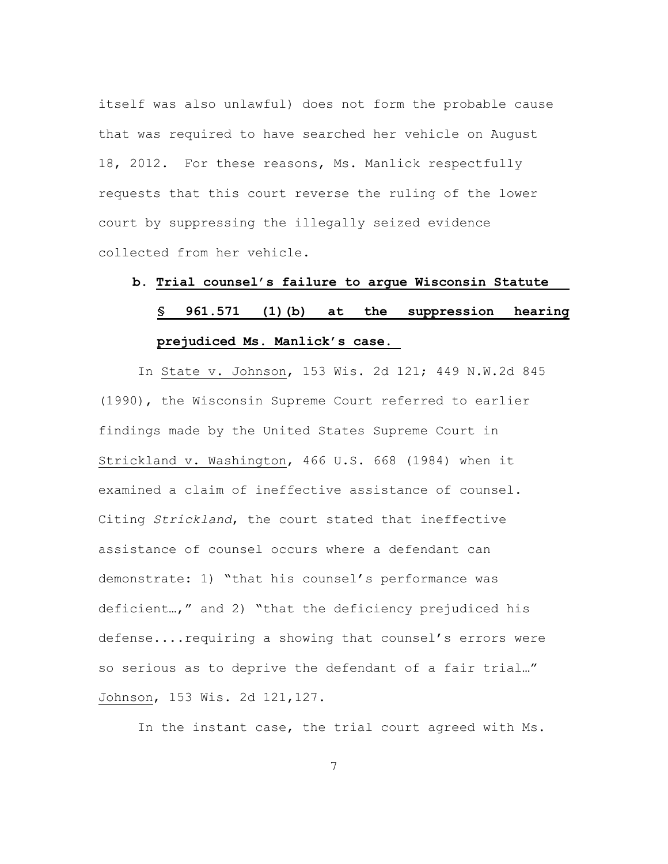itself was also unlawful) does not form the probable cause that was required to have searched her vehicle on August 18, 2012. For these reasons, Ms. Manlick respectfully requests that this court reverse the ruling of the lower court by suppressing the illegally seized evidence collected from her vehicle.

### **b. Trial counsel's failure to argue Wisconsin Statute**

# **§ 961.571 (1)(b) at the suppression hearing prejudiced Ms. Manlick's case.**

In State v. Johnson, 153 Wis. 2d 121; 449 N.W.2d 845 (1990), the Wisconsin Supreme Court referred to earlier findings made by the United States Supreme Court in Strickland v. Washington, 466 U.S. 668 (1984) when it examined a claim of ineffective assistance of counsel. Citing *Strickland*, the court stated that ineffective assistance of counsel occurs where a defendant can demonstrate: 1) "that his counsel's performance was deficient…," and 2) "that the deficiency prejudiced his defense....requiring a showing that counsel's errors were so serious as to deprive the defendant of a fair trial…" Johnson, 153 Wis. 2d 121,127.

In the instant case, the trial court agreed with Ms.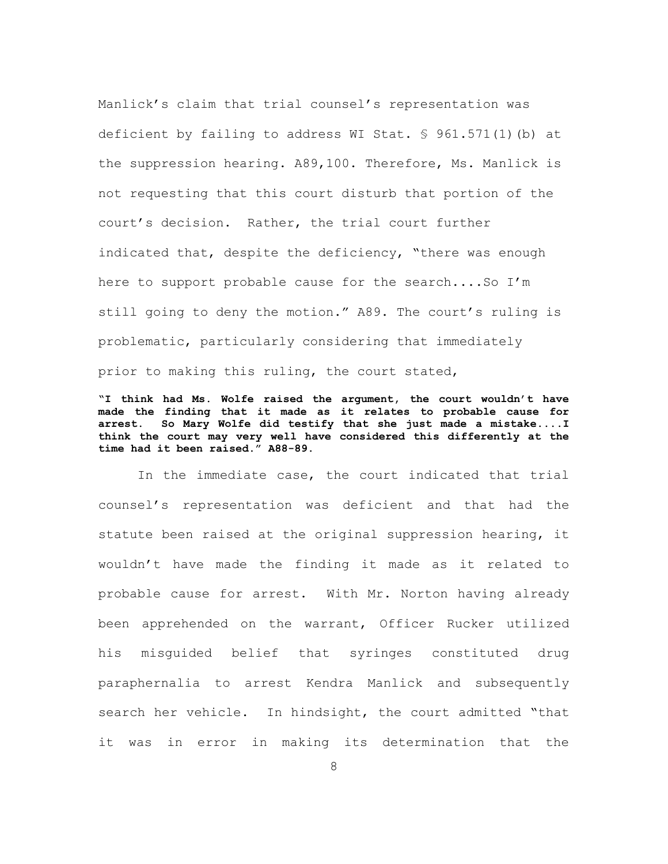Manlick's claim that trial counsel's representation was deficient by failing to address WI Stat. § 961.571(1)(b) at the suppression hearing. A89,100. Therefore, Ms. Manlick is not requesting that this court disturb that portion of the court's decision. Rather, the trial court further indicated that, despite the deficiency, "there was enough here to support probable cause for the search....So I'm still going to deny the motion." A89. The court's ruling is problematic, particularly considering that immediately prior to making this ruling, the court stated,

**"I think had Ms. Wolfe raised the argument, the court wouldn't have made the finding that it made as it relates to probable cause for arrest. So Mary Wolfe did testify that she just made a mistake....I think the court may very well have considered this differently at the time had it been raised." A88-89.** 

In the immediate case, the court indicated that trial counsel's representation was deficient and that had the statute been raised at the original suppression hearing, it wouldn't have made the finding it made as it related to probable cause for arrest. With Mr. Norton having already been apprehended on the warrant, Officer Rucker utilized his misguided belief that syringes constituted drug paraphernalia to arrest Kendra Manlick and subsequently search her vehicle. In hindsight, the court admitted "that it was in error in making its determination that the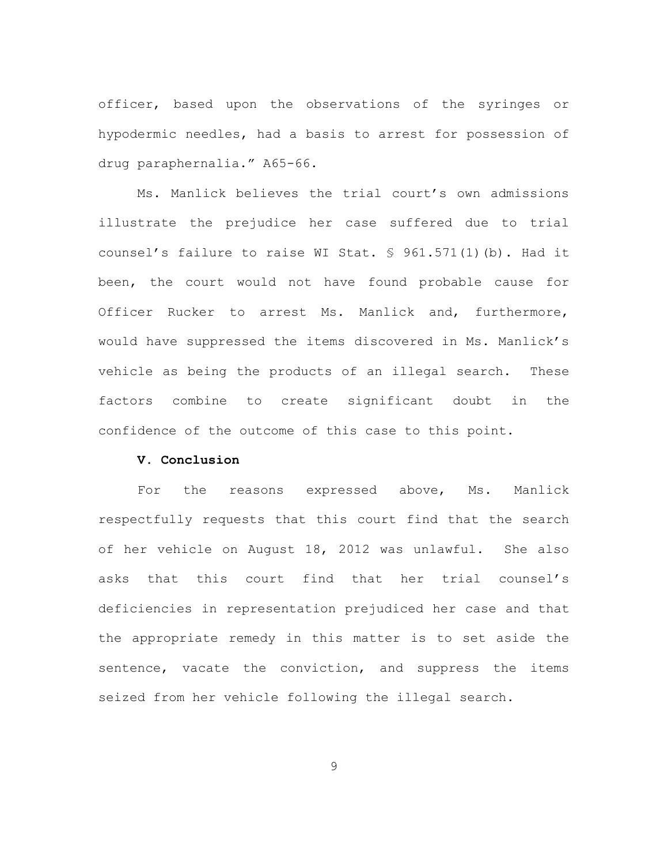officer, based upon the observations of the syringes or hypodermic needles, had a basis to arrest for possession of drug paraphernalia." A65-66.

Ms. Manlick believes the trial court's own admissions illustrate the prejudice her case suffered due to trial counsel's failure to raise WI Stat. § 961.571(1)(b). Had it been, the court would not have found probable cause for Officer Rucker to arrest Ms. Manlick and, furthermore, would have suppressed the items discovered in Ms. Manlick's vehicle as being the products of an illegal search. These factors combine to create significant doubt in the confidence of the outcome of this case to this point.

### **V. Conclusion**

For the reasons expressed above, Ms. Manlick respectfully requests that this court find that the search of her vehicle on August 18, 2012 was unlawful. She also asks that this court find that her trial counsel's deficiencies in representation prejudiced her case and that the appropriate remedy in this matter is to set aside the sentence, vacate the conviction, and suppress the items seized from her vehicle following the illegal search.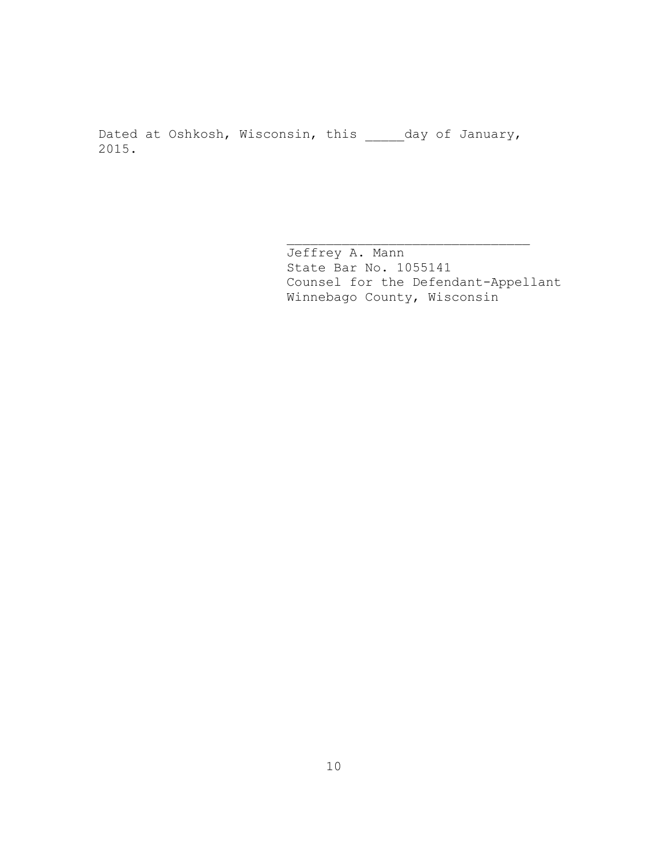Dated at Oshkosh, Wisconsin, this \_\_\_\_\_day of January, 2015.

> Jeffrey A. Mann State Bar No. 1055141 Counsel for the Defendant-Appellant Winnebago County, Wisconsin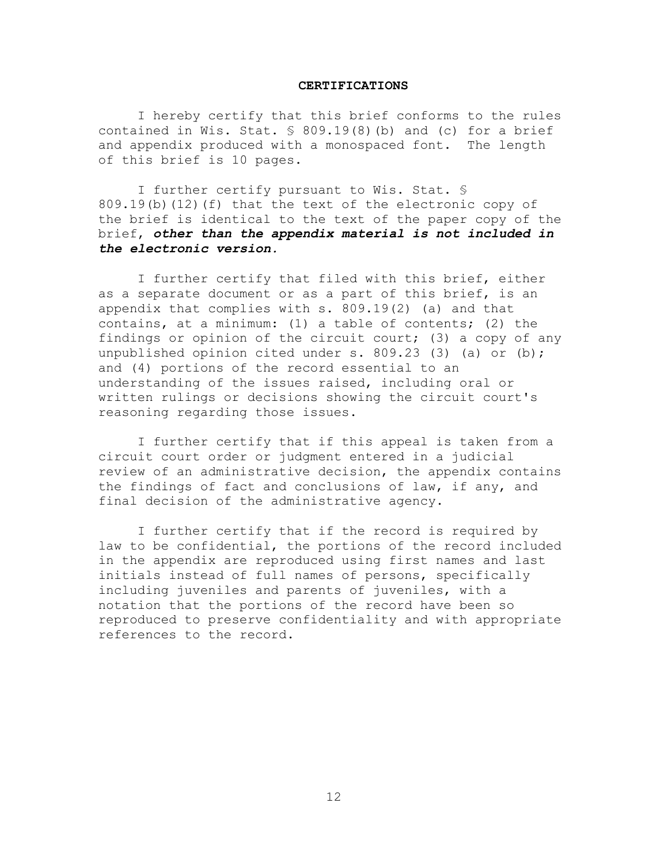#### **CERTIFICATIONS**

I hereby certify that this brief conforms to the rules contained in Wis. Stat.  $\frac{1}{5}$  809.19(8)(b) and (c) for a brief and appendix produced with a monospaced font. The length of this brief is 10 pages.

I further certify pursuant to Wis. Stat. § 809.19(b)(12)(f) that the text of the electronic copy of the brief is identical to the text of the paper copy of the brief, *other than the appendix material is not included in the electronic version.*

I further certify that filed with this brief, either as a separate document or as a part of this brief, is an appendix that complies with s. 809.19(2) (a) and that contains, at a minimum: (1) a table of contents; (2) the findings or opinion of the circuit court; (3) a copy of any unpublished opinion cited under s. 809.23 (3) (a) or (b); and (4) portions of the record essential to an understanding of the issues raised, including oral or written rulings or decisions showing the circuit court's reasoning regarding those issues.

I further certify that if this appeal is taken from a circuit court order or judgment entered in a judicial review of an administrative decision, the appendix contains the findings of fact and conclusions of law, if any, and final decision of the administrative agency.

I further certify that if the record is required by law to be confidential, the portions of the record included in the appendix are reproduced using first names and last initials instead of full names of persons, specifically including juveniles and parents of juveniles, with a notation that the portions of the record have been so reproduced to preserve confidentiality and with appropriate references to the record.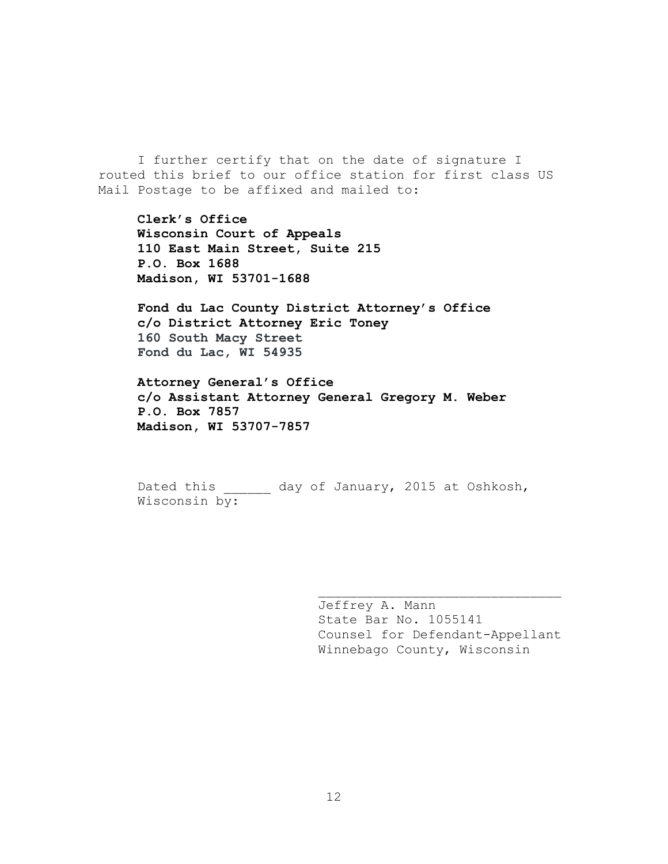I further certify that on the date of signature I routed this brief to our office station for first class US Mail Postage to be affixed and mailed to:

**Clerk's Office Wisconsin Court of Appeals 110 East Main Street, Suite 215 P.O. Box 1688 Madison, WI 53701-1688**

**Fond du Lac County District Attorney's Office c/o District Attorney Eric Toney 160 South Macy Street Fond du Lac, WI 54935**

**Attorney General's Office c/o Assistant Attorney General Gregory M. Weber P.O. Box 7857 Madison, WI 53707-7857**

Dated this \_\_\_\_\_\_ day of January, 2015 at Oshkosh, Wisconsin by:

> Jeffrey A. Mann State Bar No. 1055141 Counsel for Defendant-Appellant Winnebago County, Wisconsin